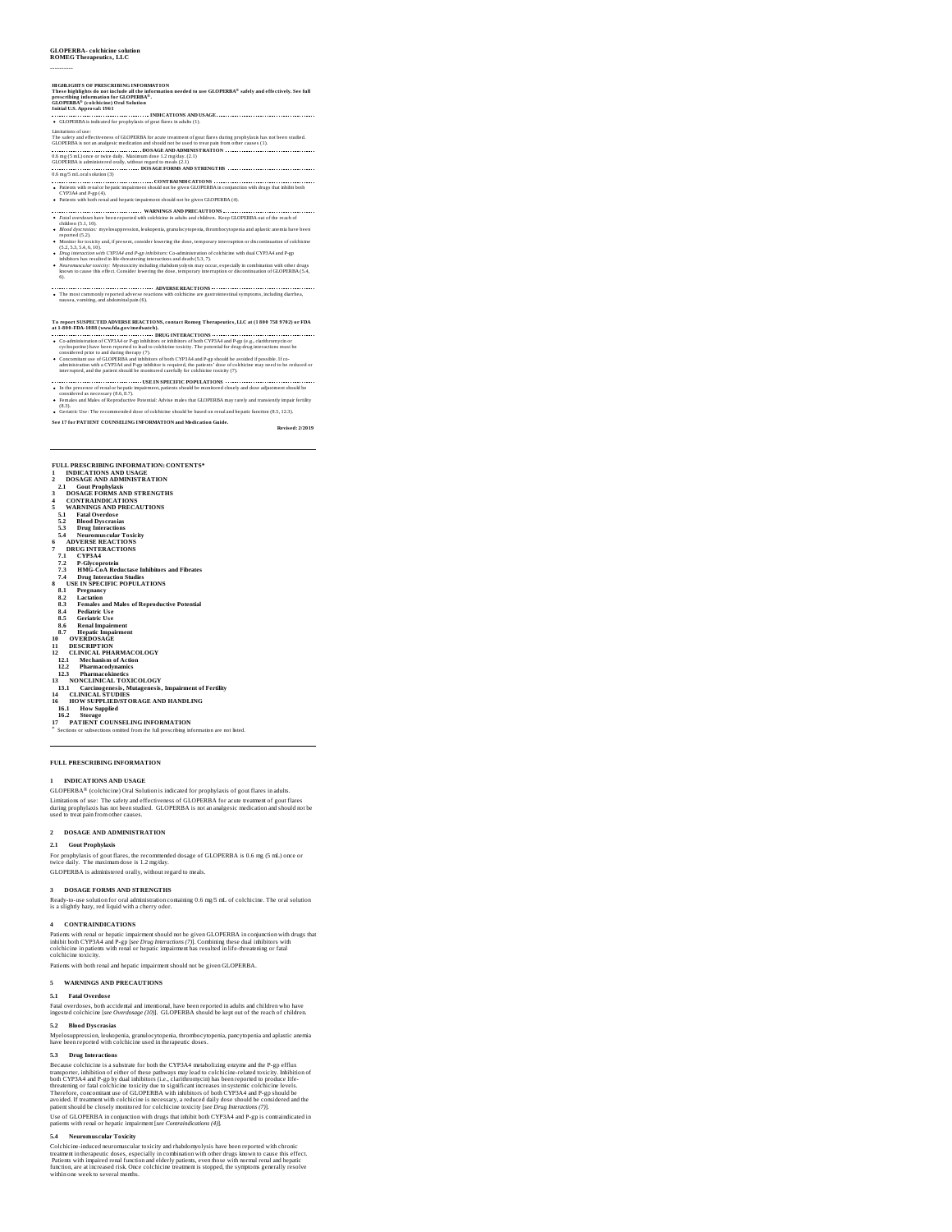# **GLOPERBA- colchicine solution ROMEG Therapeutics, LLC**

# ----------

HGHLGHTS OF PRESCRIBING INFORMATION<br>There highlights do not include all the information needed to use GLOPERBA® safely and effectively. See full<br>precenting, information for GLOPERBA®.<br>Initial U.S. Appreval: 1961 Oral Solut ights do not include all the information needed to use GLOPERBA® saf<br>information for GLOPERBA®.<br>® (exteriora) Oral Salution

**INDICATIONS AND USAGE GLOPERSHIPS INDICATIONS AND USAGE ....**<br>GLOPERBA is indicated for prophylaxis of gout flares in adults (1).

- Limitations of tast" contents of GLOFSERAS for excel transiterating on these distings growly take has not been studied.<br>CLOFSER has entra manipest: medication and should not be used to treat pain from other causes (1), ...
- 
- 
- **CONTRAINDICATIONS** Patients with renal or hepatic impairment should not be given GLOPERBA in conjunction with drugs that inhibit both CYP3A4 and P-gp (4). Patients with both renal and hepatic impairment should not be given GLOPERBA (4).
- 
- **WARNINGS AND PRECAUTIONS** *Fatal overdoses* have been reported with colchicine in adults and children. Keep GLOPERBA out of the reach of
- *Fatal overdoses* have beer<br>children (5.1, 10).<br>● *Blood dyscrasias:* myelos)
- 
- *Blood Apersuiss*. my between the subspecies, granulocytopenia, thrombocytopenia and aplastic anemia have been<br>reported (C2), 1.4 ky and, if present, consider thereing the done, temporary interruption or discontinuation of
- 6).
- **ADVERSE REACTIONS THE MOST COMMONLY REACTIONS ADVERSE REACTIONS** THE MOST COMMONLY REACTIONS THE MOST COMMONLY R<br>The most commonly reported adverse reactions with colchicine are gastrointestinal symptoms, including diarrh

- 
- To report SUSPICTED ANVERSE REACTIONS, contact Romeg Therapeutics, LLC at (1 800 758 9702) or FDA<br>at 1-800-FDM (www.fdagevinedwatch),<br> $\cdots$  conditions that the contact of CVP and the condition of the CNP (with the CNP) of administration with a CYP3A4 and P-gp inhibitor is required, the patients' dose of colchicine may need to be reduced or interrupted, and the patient should be monitored carefully for colchicine toxicity (7).
- 
- 
- **USE IN SPECIFIC POPULATIONS** In the presence of renal or hepatic impairment, patients should be monitored closely and dose adjustment should be considered as necessary (8.6, 8.7). Females and Males of Reproductive Potential: Advise males that GLOPERBA may rarely and transiently impair fertility (8.3).

Geriatric Use: The recommended dose of colchicine should be based on renal and hepatic function (8.5, 12.3).

**See 17 for PATIENT COUNSELING INFORMATION and Medication Guide. Revised: 2/2019**

- **FULL PRESCRIBING INFORMATION: CONTENTS\***<br>1 INDICATIONS AND USAGE<br>2 DOSAGE AND ADMINISTRATION<br>2 LI GOUL Prophylaxis<br>3 DOSAGE FORMS AND STRENGTHS<br>4 CONTRAINDICATIONS<br>5 WARNINGS AND PRECAUTIONS
- 
- 
- 
- 
- 
- 
- 
- 
- 
- 
- 
- 
- 
- 
- 
- 
- 
- 
- 
- 5.1 Fatal Overlos<br>
Sample metalstar (1986)<br>
Sample metalstar Toxicity<br>
Sample metalstar Toxicity<br>
6.0 ADVERSIS REACTIONS<br>
7.1 DR CVP3AEACCTIONS<br>
7.1 DR CVP3AEACCTIONS<br>
7.2 Folycopterin<br>
7.3 HMG-GoA Reductase Inhibitors and
- 
- 
- 
- 
- \* Sections or subsections omitted from the full prescribing information are not listed.

## **FULL PRESCRIBING INFORMATION**

# **1 INDICATIONS AND USAGE**

 $GLOPERBA$ <sup>®</sup> (colchicine) Oral Solution is indicated for prophylaxis of gout flares in adults. Limitations of use: The safety and effectiveness of GLOPERBA for acute treatment of gout flares<br>during prophylaxis has not been studied. GLOPERBA is not an analgesic medication and should not be<br>used to treat pain from ot

## **2 DOSAGE AND ADMINISTRATION**

## **2.1 Gout Prophylaxis**

For prophylaxis of gout flares, the recommended dosage of GLOPERBA is 0.6 mg (5 mL) once or<br>twice daily. The maximum dose is 1.2 mg/day. GLOPERBA isadministered orally, without regard to meals.

**3 DOSAGE FORMS AND STRENGTHS** Ready-to-use solution for oral administration containing 0.6 mg/5 mL of colchicine. The oral solution is a slightly hazy, red liquid with a cherry odor.

## **4 CONTRAINDICATIONS**

Patients with renal or hepatic impairment should not be given GLOPERBA in conjunction with drugs that<br>inhibit both CYP3A4 and P-gp [see Drug Interactions (7)]. Combining these dual inhibitors with<br>colchicine in patients wi colchicine toxicity.<br>Patients with both renal and hepatic impairment should not be given GLOPERBA.

**5 WARNINGS AND PRECAUTIONS**

## **5.1 Fatal Overdos e**

Fatal overdoses, both accidental and intentional, have been reported in adults and children who have ingested colchicine [*see Overdosage (10)*]. GLOPERBA should be kept out of the reach of children. **5.2 Blood Dys crasias**

Myelosuppression, leukopenia, granulocytopenia, thrombocytopenia, pancytopenia and aplastic anemia<br>have been reported with colchicine used in therapeutic doses.

5.3 Drug Interactions<br>are the control of the CVP3A4 metabolizing enzyme and the P-gp efflux<br>Because colchicine is a substrate for both the CVP3A4 metabolizing enzyme and the P-gp efflux<br>both CVP3A4 and P-gp by dual inhibi

## **5.4 Neuromus cular Toxicity**

Colchicine-induced neuromuscular toxicity and rhabdomyolysis have been reported with chronic<br>treatment in therapeutic doses, especially in combination with other drugs known to cause this effect.<br>Patiens with impaired rena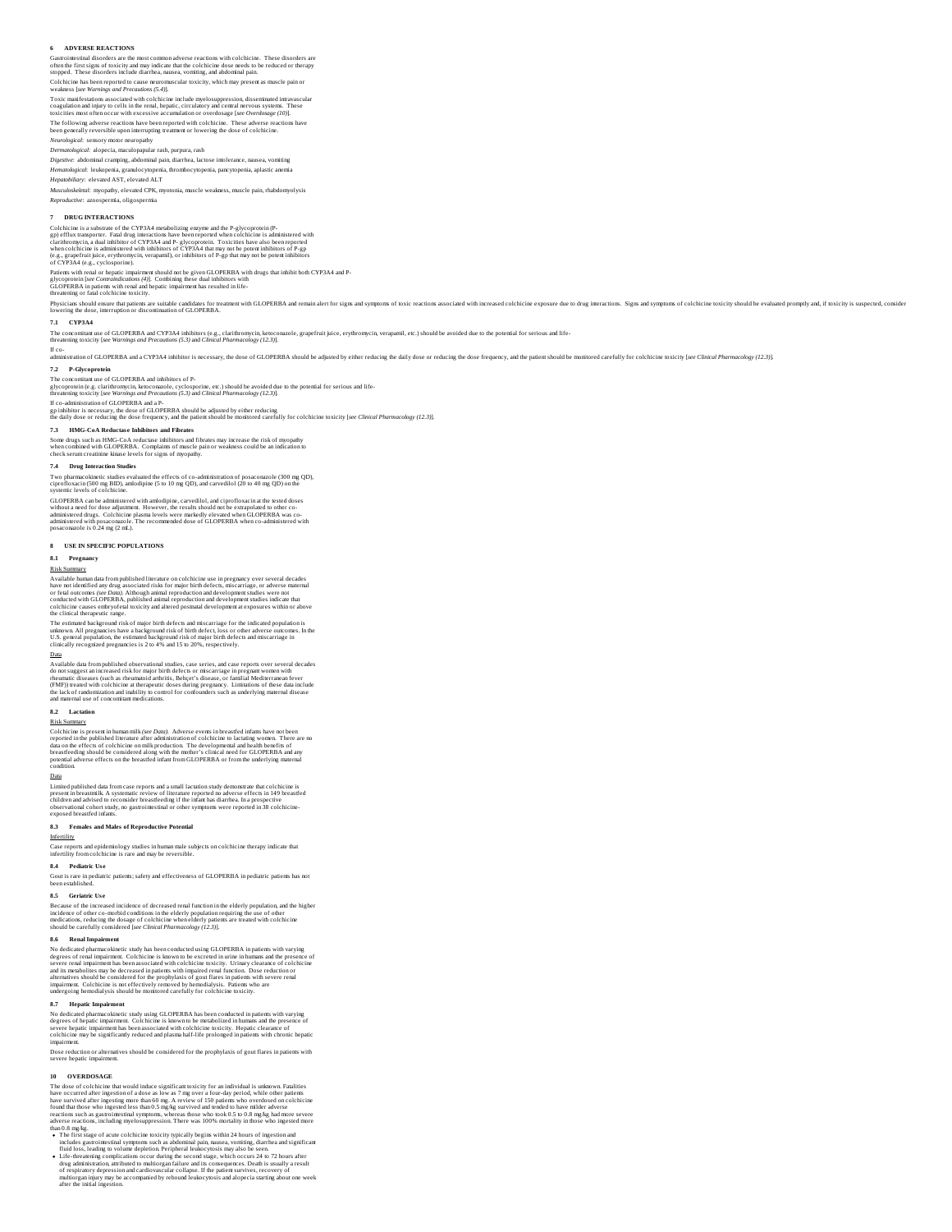## **6 ADVERSE REACTIONS**

Gastrointestinal disorders are the most common adverse reactions with colchicine. These disorders are<br>often the first signs of toxicity and may indicate that the colchicine dose needs to be reduced or therapy<br>stopped. Thes

Toxic marifestations associated with colchicine include myelosuppression, disseminated intravacular<br>coagulation and injury to cells in the renal, hepatic, circulatory and central nervous systems. These<br>toxicities most ofte

*Neurological*: sensory motor neuropathy

*Dermatological*: alopecia, maculopapular rash, purpura, rash<br>*Digestive*: abdominal cramping, abdominal pain, diarrhea, lactose intolerance, nausea, vomiting

*Hematological*: leukopenia, granulocytopenia, thrombocytopenia, pancytopenia, aplastic anemia *Hepatobiliary*: elevated AST, elevated ALT

*Musculoskeletal*: myopathy, elevated CPK, myotonia, muscle weakness, muscle pain, rhabdomyolysis *Reproductive*: azoospermia, oligospermia

**7 DRUG INTERACTIONS**<br>Colchicine is a substrate of the CYP3A4 metabolizing enzyme and the P-glycoprotein (P-<br>gp) efflux transporter. Fatal drug interactions have been reported when colchicine is administered with<br>clarifur

Patients with renal or hepatic impairment should not be given GLOPERBA with drugs that inhibit both CYP3A4 and P-<br>glycoprotein[see Contraindications (4)]. Combining these dual inhibitors with<br>GLOPERBA in patients with rena

Physicians should resurt that painter candidates for treatment with GLOPERBA and remainalent for signs and symptoms of toxic reactions associated with increased colchicine exposure due to drug interactions. Signs and sympt

## **7.1 CYP3A4**

The concomiant use of GLOPERBA and CYP3A4 inhibiors (e.g., clarithromycin, ketoconazole, grapefruit juice, erythromycin, verapamil, etc.) should be avoided due to the potential for serious and life-<br>threatening toxicity [s

lf co-<br>administration of GLOPERBA and a CYP3A4 inhibitor is necessary, the dose of GLOPERBA should be adjusted by either reducing the daily dose or reducing the dose frequency, and the patient should be monitored carefully

**7.2 P-Glycoprotein** The concomiant use of GLOPERBA and inhibitors of P-<br>glycoprotein (e.g. clarithromycin, ketoconazole, cyclosporine, etc.) should be avoided due to the potential for serious and life-<br>threatening toxicity [see Warnings and P

If co-administration of GLOPERBA and a P-<br>gp inhibitor is necessary, the dose of GLOPERBA should be adjusted by either reducing<br>the daily dose or reducing the dose frequency, and the patient should be monitored carefully f

7.3 HMG-CoA Reductase Inhibitors and Fibrates<br>Some drugs such as HMG-CoA reductase inhibitors and fibrates may increase the risk of myopathy<br>when combined with GLOPERBA. Complaints of muscle pain or weakness could be an in

## **7.4 Drug Interaction Studies**

Two pharmacokinetic studies evaluated the effects of co-administration of posaconazole (300 mg QD),<br>ciprofloxacin (500 mg BID), amlodipine (5 to 10 mg QD), and carvedilol (20 to 40 mg QD) on the<br>systemic levels of colchici

GLOPERBA can be administered with amodipine, carvedilol, and ciprofloxacin at the tested doses<br>without a need for dose adjustment. However, the results should not be extrapolated to other co-<br>administered drugs. Colchicine

## **8 USE IN SPECIFIC POPULATIONS**

# **8.1 Pregnancy**

Risk Summary<br>Available human data from published literature on colchicine use in pregnancy over several decades<br>have not identified any drug associated risks for major birth defects, miscarizage, or adverse maternal<br>of rel

The estimated background risk of major birth defects and miscarriage for the indicated population is<br>unknown. All pregnancies have a background risk of birth defect, loss or other adverse outcomes. In the<br>U.S. general popu

## Data

Available data from published observational studies, case series, and case reports over several decades<br>do not suggest an increased risk for major birth defects or miscarriage in pregnant women with<br>themunic diseases (such

8.2<br>Clockholmary<br>Colchicine is present in human milk (see Dota). Adverse events inbreastfed infants have not been<br>Colchicine is present in human milk (see Dota). Adverse events in breastfed infants have not been<br>breastfeed

## Data

Limited published data from case reports and a small lactation study demonstrate that colchicine is<br>present in breastmilk. A systematic review of literature reported no adverse effects in 149 breastfed<br>children and advised exposed breastfed infant

## **8.3 Females and Males of Reproductive Potential**

Infertility

Case reports and epidemiology studies in human male subjects on colchicine therapy indicate that infertility from colchicine is rare and may be reversible.

# **8.4 Pediatric Us e**

Gout is rare in pediatric patients; safety and effectiveness of GLOPERBA in pediatric patients has not<br>been established.

# **8.5 Geriatric Us e**

Because of the increased incidence of decreased renal function in the elderly population, and the higher<br>incidence of other co-morbid conditions in the elderly population requiring the use of other<br>medications, reducing th

## **8.6 Renal Impairment**

No dedicated pharmacokineits study has been conducted using GLOPERBA in patients with varying degrees of renal impairment. Colchicine is known to be excreted in urine in humans and the presence of exceeding the studies of

## **8.7 Hepatic Impairment**

No dedicated pharmacokinetic study using GLOPERBA has been conducted in patients with varying<br>degrees of hepaici impairment. Colchicine is known to be meabolized in humans and the presence of<br>severe hepatic impairment has

Dose reduction or alternatives should be considered for the prophylaxis of gout flares in patients with severe hepatic impairment.

10<br>
OVERDOSAGE<br>
The dose of colchicine that would induce significant toxicity for an individual is unknown. Fatalities<br>
have occurred after ingestion of a dose as low as 7 mg over a four-day period, while obser patiers<br>
h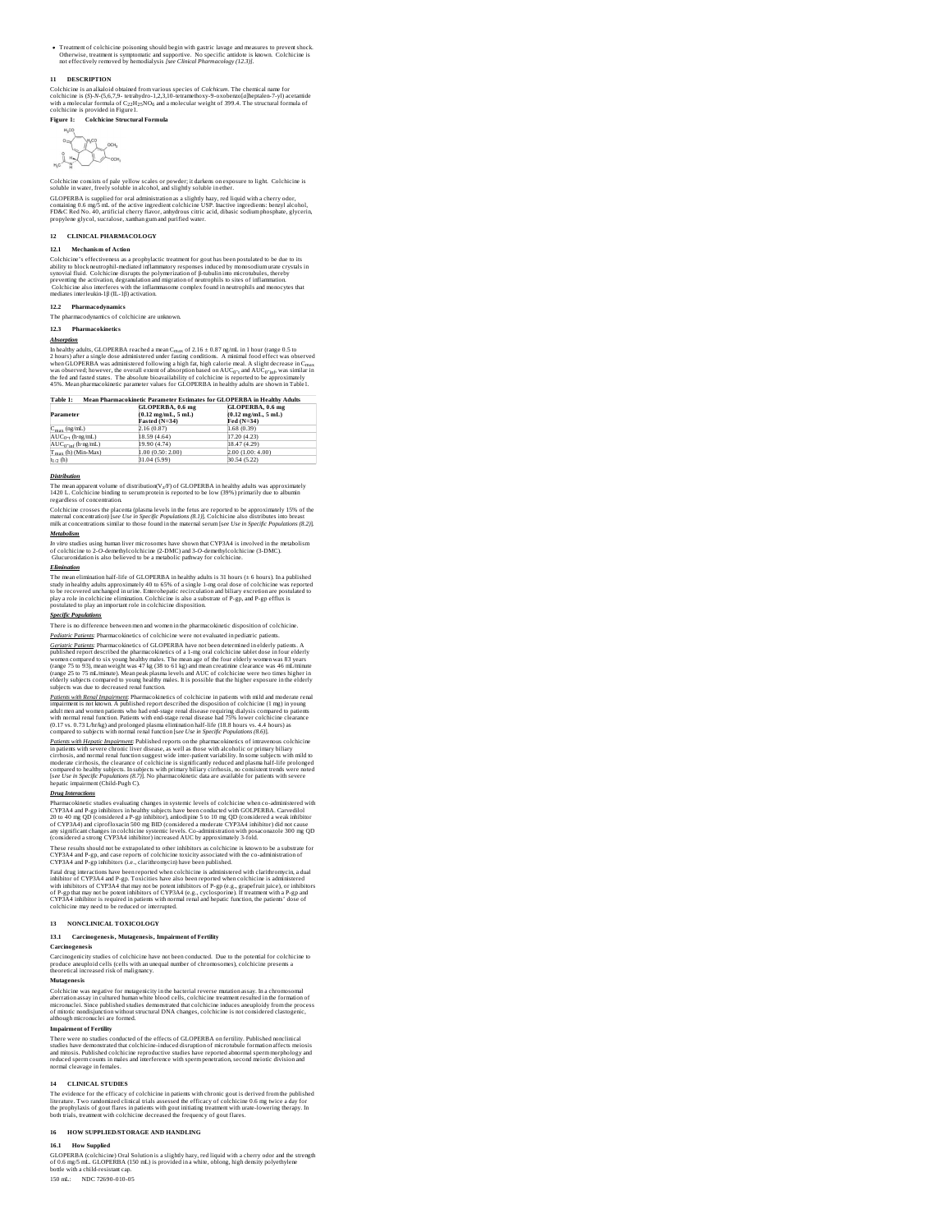Treatment of colchicine poisoning should begin with gastric lavage and measures to prevent shock.<br>Otherwise, treatment is symptomatic and supportive. No specific antidote is known. Colchicine is<br>not effectively removed by

## **11 DESCRIPTION**

Colchicine is an alkaloid obtained from various species of *Colchicum.* The chemical name for<br>colchicine is (S)-N-(5,6,7,9- tetrahydro-1,2,3,10-tetramethoxy-9-oxobenzo(a)heptalen-7-yl) acetamide<br>with a molecular formula of

**Figure 1: Colchicine Structural Formula**  $\begin{picture}(120,110) \put(10,10){\line(1,0){150}} \put(10,10){\line(1,0){150}} \put(10,10){\line(1,0){150}} \put(10,10){\line(1,0){150}} \put(10,10){\line(1,0){150}} \put(10,10){\line(1,0){150}} \put(10,10){\line(1,0){150}} \put(10,10){\line(1,0){150}} \put(10,10){\line(1,0){150}} \put(10,10){\line(1,0){150}} \put(10,1$ 

Colchicine consists of pale yellow scales or powder; it darkens on exposure to light. Colchicine is soluble in water, freely soluble in alcohol, and slightly soluble in ether.

GLOPERBA is supplied for oral administration as a slightly hazy, red liquid with a cherry odor,<br>containing 0.6 mg/5 mL of the active ingredient colchicine USP. Inactive ingredients: benzyl alcohol,<br>FD&C Red No. 40, artific

# **12 CLINICAL PHARMACOLOGY**

**12.1 Mechanism of Action**<br>
21.1 Mechanism of Action<br>
Colchicine's effectiveness as a prophylactic treatment for gont has been postulated to be due to its<br>
biblity to block neutrophil-mediated inflammatory responses induc

# **12.2 Pharmacodynamics**

The pharmacodynamics<br>The pharmacodynamics of colchicine are unkno

**12.3 Pharmacokinetics**

## *Absorption*

In healthy adults, GLOPERBA reached a mean C<sub>mar</sub> of 2.16 ± 0.87 ay/mL in 1 hour (range 0.5 to<br>2 bours) after a single dose administered under fasting conditions. A minimal food effect was observed<br>when GLOPERBA was admin <sub>max</sub> or meal. A slight decrease in C<sub>max</sub><br><sub>0"t</sub> and AUC<sub>0"inf</sub>, was similar in

| Mean Pharmacokinetic Parameter Estimates for GLOPERBA in Healthy Adults<br>Table 1: |                                      |                                      |
|-------------------------------------------------------------------------------------|--------------------------------------|--------------------------------------|
|                                                                                     | GLOPERBA, 0.6 mg                     | GLOPERBA, 0.6 mg                     |
| Parameter                                                                           | $(0.12 \text{ me/mL}, 5 \text{ mL})$ | $(0.12 \text{ me/mL}, 5 \text{ mL})$ |
|                                                                                     | Fasted (N=34)                        | Fed (N=34)                           |
| $C_{\text{max}}$ (ng/mL)                                                            | 2.16 (0.87)                          | 1.68 (0.39)                          |
| $AUC_{0^{-t}}(h \cdot ng/mL)$                                                       | 18.59 (4.64)                         | 17.20 (4.23)                         |
| $AUC_0$ -inf (h·ng/mL)                                                              | 19.90 (4.74)                         | 18.47 (4.29)                         |
| $T_{\text{max}}$ (h) (Min-Max)                                                      | 1.00 (0.50: 2.00)                    | 2.00 (1.00: 4.00)                    |
| $t_{1/2}$ (h)                                                                       | 31.04 (5.99)                         | 30.54 (5.22)                         |

**Distribution**<br>The mean apparent volume of distribution(V<sub>2</sub>/F) of GLOPERBA in healthy adults was approximately<br>1420 L. Colchicine binding to serum protein is reported to be low (39%) primarily due to albumin<br>regardless of

Colchicine crosses the placenta (plasma levels in the fetus are reported to be approximately 15% of the<br>maternal concentration) [see Use in Specific Populations (8.1)]. Colchicine also distributes into breast<br>milk at conce *Metabolism*

*In vitro* studies using human liver microsomes have shown that CYP3A4 is involved in the metabolism<br>of colchicine to 2-O-demethylcolchicine (2-DMC) and 3-0-demethylcolchicine (3-DMC).<br>Glucuronidation is also believed to b

## *Elimination*

The mean elimination half-life of GLOPERBA inhealthy adults is 31 hours (± 6 hours). In a published<br>study in healthy adults approximately 40 to 65% of a single 1-mg oral dose of colchicine was reported<br>to be recovered unch

# *Specific Populations*

There is no difference between men and women in the pharmacokinetic disposition of colchicine.

*<u>Dedicinic Durinary</u>* Pharmacokinetics of colchicine were not evaluated in pediantic patients.<br>Cartainic Durinary Pharmacokinetics of GLOFERBA have not been determined in elderly patients. A<br>published report described the

*<u>Patients with Renal Impariments</u>* Pharmacokinetics of colchistrie in patients with mild and moderate renal<br>impairment is not known. A published report described the disposition of colchicine (1 mg) in young<br>adult men and

*<u>Datients with Heraids Impairman</u>*: Published reports on the pharmacokinetics of intravevenus colchicine<br>inpaires: with severe chronic liver disease, as well as those with alcoholic or primary biliary<br>cirrhosis, and norma

## *Drug Interactions*

Pharmacokinetic studies evaluating changes in systemic levels of colchicine when co-administered with<br>CYP3A4 and P-gp inhibitors in healthy subjects have been conducted with GOLPERBA. Carvedilol<br>20 to 40 mg QD (considered

These results should not be extrapolated to other inhibitors as colchicine is known to be a substrate for CYP2A4 and P-gp, and case reports of colchicine toxicly associated with the co-administration of CYP2A4 and P-gp in

# **13 NONCLINICAL TOXICOLOGY**

**13.1 Carcinogenesis, Mutagenesis, Impairment of Fertility**

**Carcinogenesis**<br>Carcinogenicity studies of colchicine have not been conducted. Due to the potential for colchicine to<br>produce aneuploid cells (cells with an unequal number of chromosomes), colchicine presents a<br>theoretica

Mutagenesis<br>Colchicine was negative for mutagenicity in the bacterial reverse mutation assay. In a chromosomal<br>aberration assay in cultured human white blood cells, colchicine treatment resulted in the formation of<br>microna

## **Impairment of Fertility**

There were no studies conducted of the effects of GLOPERBA on fertility. Published nonclinical<br>studies have demonstrated that colchicine-induced disruption of microtubule formation affects meiosis<br>and mitosis. Published co

## **14 CLINICAL STUDIES**

The evidence for the efficacy of colchicine in patients with chronic gout is derived from the published<br>literature. Two randomized clinical trials assessed the efficacy of colchicine 0.6 mg twice a day for<br>the prophylaxis

## **16 HOW SUPPLIED/STORAGE AND HANDLING**

16.1<br>GLOPERBA (colchicine) Oral Solution is a slightly hazy, red liquid with a cherry odor and the strength<br>of 0.6 mg/s mL. GLOPERBA (150 mL) is provided in a white, oblong, high density polyethylene<br>botile with a child-re

150 mL: NDC 72690-010-05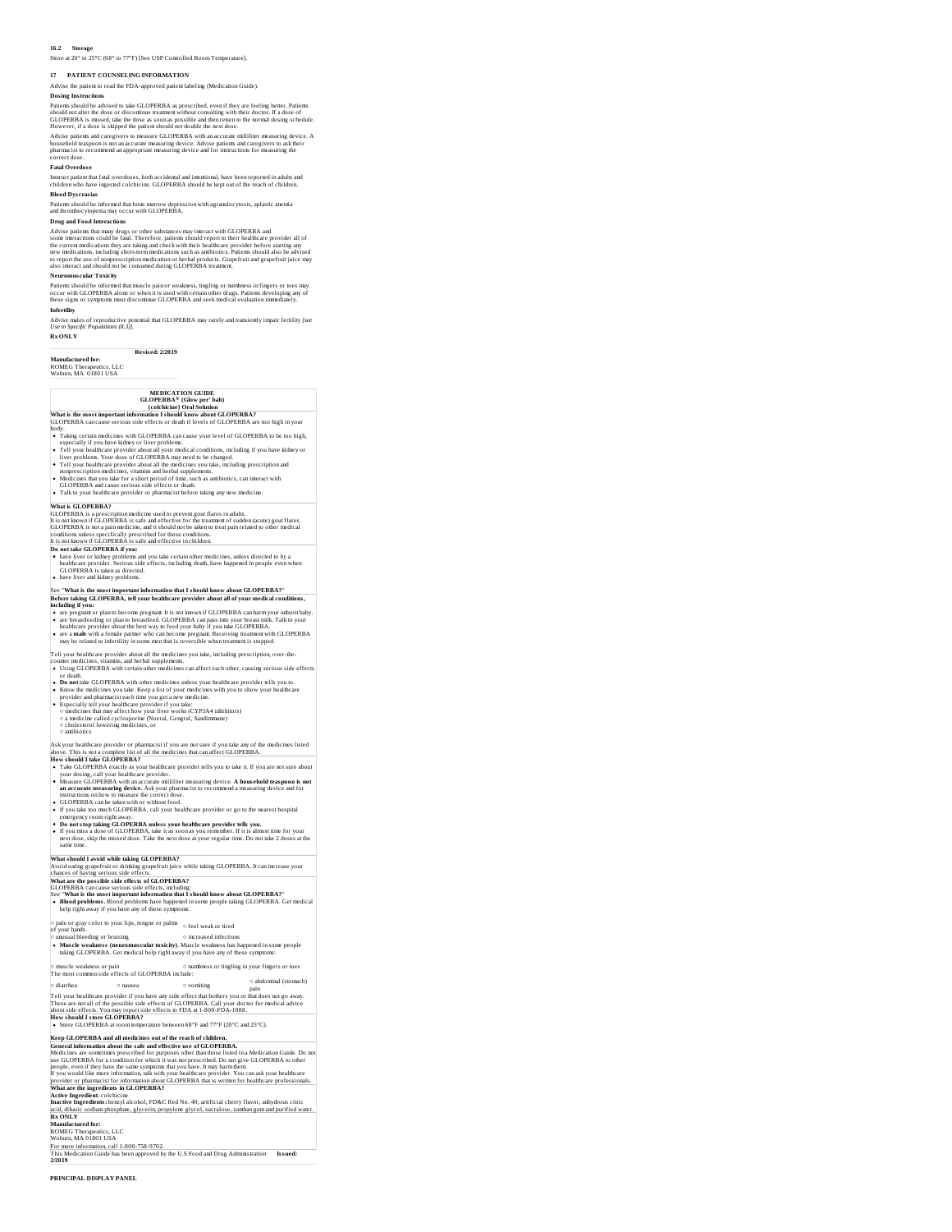# **16.2 Storage**

# Store at 20° to 25°C (68° to 77°F) [See USP Controlled Room Temperature].

**17 PATIENT COUNSELING INFORMATION**

Advise the patient to read the FDA-approved patient labeling (Medication Guide). **Dosing Instructions**

Patients should be advised to take GLOPERBA as prescribed, even if they are feeling better. Patiens:<br>should not alter the dose or discontinue treatment without consulting with their doctor. If a dose of<br>GLOPERBA is missed,

## **Fatal Overdos e**

Instruct patient that fatal overdoses, both accidental and intentional, have been reported in adults and<br>children who have ingested colchicine. GLOPERBA should be kept out of the reach of children.<br>Blood Dyscrasias

Patients should be informed that bone marrow depression with agranulocytosis, aplastic anemia and thrombocytopenia may occur with GLOPERBA.

**Drug and Food Interactions**<br>Advise pairds on the statements are substances may interact with GLOPERBA and<br>some interactions could be fatal. Therefore, patients should report to their healthcare provider all of<br>the curren

# **Neuromus cular Toxicity**

Patients should be informed that muscle pain or weakness, tingling or numbness in fingers or toes may<br>occur with GLOPERBA alone or when it is used with certain other drugs. Patients developing any of<br>these signs or symptom **Infertility**

Advise males of reproductive potential that GLOPERBA may rarely and transiently impair fertility *[see Use in Specific Populations (8.3)].* **Rx ONLY**

# **Revis ed: 2/2019**

**Manufactured for:** ROMEG Therapeutics, LLC

|                                                                                                                                                                                                                                                                 | <b>MEDICATION GUIDE</b><br><b>GLOPERBA®</b> (Glow per' bah)                                                                                                                                                                                                                                                                                                                               |
|-----------------------------------------------------------------------------------------------------------------------------------------------------------------------------------------------------------------------------------------------------------------|-------------------------------------------------------------------------------------------------------------------------------------------------------------------------------------------------------------------------------------------------------------------------------------------------------------------------------------------------------------------------------------------|
|                                                                                                                                                                                                                                                                 | (colchicine) Oral Solution<br>What is the most important information I should know about GLOPERBA?                                                                                                                                                                                                                                                                                        |
|                                                                                                                                                                                                                                                                 | GLOPERBA can cause serious side effects or death if levels of GLOPERBA are too high in your                                                                                                                                                                                                                                                                                               |
| body.                                                                                                                                                                                                                                                           | • Taking certain medicines with GLOPERBA can cause your level of GLOPERBA to be too high,                                                                                                                                                                                                                                                                                                 |
|                                                                                                                                                                                                                                                                 | especially if you have kidney or liver problems.                                                                                                                                                                                                                                                                                                                                          |
|                                                                                                                                                                                                                                                                 | . Tell your healthcare provider about all your medical conditions, including if you have kidney or<br>liver problems. Your dose of GLOPERBA may need to be changed.                                                                                                                                                                                                                       |
|                                                                                                                                                                                                                                                                 | • Tell your healthcare provider about all the medicines you take, including prescription and                                                                                                                                                                                                                                                                                              |
| ٠                                                                                                                                                                                                                                                               | nonprescription medicines, vitamins and herbal supplements.<br>Medicines that you take for a short period of time, such as antibiotics, can interact with                                                                                                                                                                                                                                 |
|                                                                                                                                                                                                                                                                 | GLOPERBA and cause serious side effects or death.                                                                                                                                                                                                                                                                                                                                         |
|                                                                                                                                                                                                                                                                 | Talk to your healthcare provider or pharmacist before taking any new medicine.                                                                                                                                                                                                                                                                                                            |
| What is GLOPERBA?                                                                                                                                                                                                                                               |                                                                                                                                                                                                                                                                                                                                                                                           |
|                                                                                                                                                                                                                                                                 | GLOPERBA is a prescription medicine used to prevent gout flares in adults.<br>It is not known if GLOPERBA is safe and effective for the treatment of sudden (acute) gout flares.                                                                                                                                                                                                          |
|                                                                                                                                                                                                                                                                 | GLOPERBA is not a pain medicine, and it should not be taken to treat pain related to other medical                                                                                                                                                                                                                                                                                        |
|                                                                                                                                                                                                                                                                 | conditions unless specifically prescribed for those conditions.<br>It is not known if GLOPERBA is safe and effective in children.                                                                                                                                                                                                                                                         |
| Do not take GLOPERBA if you:                                                                                                                                                                                                                                    |                                                                                                                                                                                                                                                                                                                                                                                           |
|                                                                                                                                                                                                                                                                 | . have liver or kidney problems and you take certain other medicines, unless directed to by a<br>healthcare provider. Serious side effects, including death, have happened in people even when                                                                                                                                                                                            |
| GLOPERBA is taken as directed.                                                                                                                                                                                                                                  |                                                                                                                                                                                                                                                                                                                                                                                           |
| . have liver and kidney problems.                                                                                                                                                                                                                               |                                                                                                                                                                                                                                                                                                                                                                                           |
|                                                                                                                                                                                                                                                                 | See "What is the most important information that I should know about GLOPERBA?"                                                                                                                                                                                                                                                                                                           |
| including if you:                                                                                                                                                                                                                                               | Before taking GLOPERBA, tell your healthcare provider about all of your medical conditions,                                                                                                                                                                                                                                                                                               |
|                                                                                                                                                                                                                                                                 | are pregnant or plan to become pregnant. It is not known if GLOPERBA can harm your unborn baby.                                                                                                                                                                                                                                                                                           |
|                                                                                                                                                                                                                                                                 | are breastfeeding or plan to breastfeed. GLOPERBA can pass into your breast milk. Talk to your<br>healthcare provider about the best way to feed your baby if you take GLOPERBA.                                                                                                                                                                                                          |
|                                                                                                                                                                                                                                                                 | are a male with a female partner who can become pregnant. Receiving treatment with GLOPERBA                                                                                                                                                                                                                                                                                               |
|                                                                                                                                                                                                                                                                 | may be related to infertility in some men that is reversible when treatment is stopped.                                                                                                                                                                                                                                                                                                   |
|                                                                                                                                                                                                                                                                 | Tell your healthcare provider about all the medicines you take, including prescription, over-the-<br>counter medicines, vitamins, and herbal supplements.                                                                                                                                                                                                                                 |
|                                                                                                                                                                                                                                                                 | • Using GLOPERBA with certain other medicines can affect each other, causing serious side effects                                                                                                                                                                                                                                                                                         |
| or death.                                                                                                                                                                                                                                                       | . Do not take GLOPERBA with other medicines unless your healthcare provider tells you to.                                                                                                                                                                                                                                                                                                 |
|                                                                                                                                                                                                                                                                 | • Know the medicines you take. Keep a list of your medicines with you to show your healthcare                                                                                                                                                                                                                                                                                             |
|                                                                                                                                                                                                                                                                 | provider and pharmacist each time you get a new medicine.                                                                                                                                                                                                                                                                                                                                 |
|                                                                                                                                                                                                                                                                 | Especially tell your healthcare provider if you take:<br>o medicines that may affect how your liver works (CYP3A4 inhibitors)                                                                                                                                                                                                                                                             |
|                                                                                                                                                                                                                                                                 | o a medicine called cyclosporine (Noeral, Gengraf, Sandimmune)                                                                                                                                                                                                                                                                                                                            |
| $\circ$ cholesterol lowering medicines, or<br>o antibiotics                                                                                                                                                                                                     |                                                                                                                                                                                                                                                                                                                                                                                           |
|                                                                                                                                                                                                                                                                 |                                                                                                                                                                                                                                                                                                                                                                                           |
|                                                                                                                                                                                                                                                                 | Ask your healthcare provider or pharmacist if you are not sure if you take any of the medicines listed<br>above. This is not a complete list of all the medicines that can affect GLOPERBA                                                                                                                                                                                                |
| <b>How should I take GLOPERBA?</b>                                                                                                                                                                                                                              |                                                                                                                                                                                                                                                                                                                                                                                           |
|                                                                                                                                                                                                                                                                 | . Take GLOPERBA exactly as your healthcare provider tells you to take it. If you are not sure about<br>your dosing, call your healthcare provider.                                                                                                                                                                                                                                        |
|                                                                                                                                                                                                                                                                 | Measure GLOPERBA with an accurate milliliter measuring device. A household teaspoon is not                                                                                                                                                                                                                                                                                                |
|                                                                                                                                                                                                                                                                 | an accurate measuring device. Ask your pharmacist to recommend a measuring device and for<br>instructions on how to measure the correct dose.                                                                                                                                                                                                                                             |
|                                                                                                                                                                                                                                                                 | GLOPERBA can be taken with or without food.                                                                                                                                                                                                                                                                                                                                               |
|                                                                                                                                                                                                                                                                 | . If you take too much GLOPERBA, call your healthcare provider or go to the nearest hospital                                                                                                                                                                                                                                                                                              |
|                                                                                                                                                                                                                                                                 |                                                                                                                                                                                                                                                                                                                                                                                           |
| emergency room right away.                                                                                                                                                                                                                                      |                                                                                                                                                                                                                                                                                                                                                                                           |
|                                                                                                                                                                                                                                                                 | Do not stop taking GLOPERBA unless your healthcare provider tells you.<br>If you miss a dose of GLOPERBA, take it as soon as you remember. If it is almost time for your                                                                                                                                                                                                                  |
| same time.                                                                                                                                                                                                                                                      | next dose, skip the missed dose. Take the next dose at your regular time. Do not take 2 doses at the                                                                                                                                                                                                                                                                                      |
|                                                                                                                                                                                                                                                                 |                                                                                                                                                                                                                                                                                                                                                                                           |
|                                                                                                                                                                                                                                                                 | What should I avoid while taking GLOPERBA?<br>Avoid eating grapefruit or drinking grapefruit juice while taking GLOPERBA. It can increase your                                                                                                                                                                                                                                            |
|                                                                                                                                                                                                                                                                 |                                                                                                                                                                                                                                                                                                                                                                                           |
|                                                                                                                                                                                                                                                                 | What are the possible side effects of GLOPERBA?<br>GLOPERBA can cause serious side effects, including:                                                                                                                                                                                                                                                                                    |
|                                                                                                                                                                                                                                                                 | See "What is the most important information that I should know about GLOPERBA?"                                                                                                                                                                                                                                                                                                           |
|                                                                                                                                                                                                                                                                 | help right away if you have any of these symptoms:                                                                                                                                                                                                                                                                                                                                        |
|                                                                                                                                                                                                                                                                 |                                                                                                                                                                                                                                                                                                                                                                                           |
|                                                                                                                                                                                                                                                                 | $\circ$ pale or gray color to your lips, tongue or palms $\circ$ feel weak or tired                                                                                                                                                                                                                                                                                                       |
|                                                                                                                                                                                                                                                                 | $\diamond$ increased infections                                                                                                                                                                                                                                                                                                                                                           |
|                                                                                                                                                                                                                                                                 | · Muscle weakness (neuromuscular toxicity). Muscle weakness has happened in some people                                                                                                                                                                                                                                                                                                   |
|                                                                                                                                                                                                                                                                 | taking GLOPERBA. Get medical help right away if you have any of these symptoms:                                                                                                                                                                                                                                                                                                           |
|                                                                                                                                                                                                                                                                 | o numbness or tingling in your fingers or toes                                                                                                                                                                                                                                                                                                                                            |
|                                                                                                                                                                                                                                                                 | The most common side effects of GLOPERBA include:<br>o abdominal (stomach)                                                                                                                                                                                                                                                                                                                |
|                                                                                                                                                                                                                                                                 | o nausea<br>o vomiting<br>pain                                                                                                                                                                                                                                                                                                                                                            |
|                                                                                                                                                                                                                                                                 | Tell your healthcare provider if you have any side effect that bothers you or that does not go away.                                                                                                                                                                                                                                                                                      |
|                                                                                                                                                                                                                                                                 | These are not all of the possible side effects of GLOPERBA. Call your doctor for medical advice<br>about side effects. You may report side effects to FDA at 1-800-FDA-1088.                                                                                                                                                                                                              |
|                                                                                                                                                                                                                                                                 |                                                                                                                                                                                                                                                                                                                                                                                           |
|                                                                                                                                                                                                                                                                 | • Store GLOPERBA at room temperature between 68°F and 77°F (20°C and 25°C).                                                                                                                                                                                                                                                                                                               |
|                                                                                                                                                                                                                                                                 | Keep GLOPERBA and all medicines out of the reach of children.                                                                                                                                                                                                                                                                                                                             |
|                                                                                                                                                                                                                                                                 | General information about the safe and effective use of GLOPERBA.                                                                                                                                                                                                                                                                                                                         |
|                                                                                                                                                                                                                                                                 | use GLOPERBA for a condition for which it was not prescribed. Do not give GLOPERBA to other                                                                                                                                                                                                                                                                                               |
|                                                                                                                                                                                                                                                                 | · Blood problems. Blood problems have happened in some people taking GLOPERBA. Get medical<br>Medicines are sometimes prescribed for purposes other than those listed in a Medication Guide. Do not<br>eople, even if they have the same symptoms that you have. It may harm them.<br>If you would like more information, talk with your healthcare provider. You can ask your healthcare |
|                                                                                                                                                                                                                                                                 | provider or pharmacist for information about GLOPERBA that is written for healthcare professionals                                                                                                                                                                                                                                                                                        |
|                                                                                                                                                                                                                                                                 |                                                                                                                                                                                                                                                                                                                                                                                           |
|                                                                                                                                                                                                                                                                 | Inactive Ingredients: benzyl alcohol, FD&C Red No. 40, artificial cherry flavor, anhydrous citric                                                                                                                                                                                                                                                                                         |
| chances of having serious side effects<br>of your hands.<br>o unusual bleeding or bruising<br>muscle weakness or pain<br>o diarrhea<br>How should I store GLOPERBA?<br>What are the ingredients in GLOPERBA?<br>Active Ingredient: colchicine<br><b>Rx ONLY</b> | acid, dibasic sodium phosphate, glycerin, propylene glycol, sucralose, xanthan gum and purified water.                                                                                                                                                                                                                                                                                    |
|                                                                                                                                                                                                                                                                 |                                                                                                                                                                                                                                                                                                                                                                                           |
| Manufactured for:                                                                                                                                                                                                                                               |                                                                                                                                                                                                                                                                                                                                                                                           |
| ROMEG Therapeutics, LLC<br>Woburn, MA 01801 USA<br>For more information, call 1-800-758-9702.                                                                                                                                                                   | This Medication Guide has been approved by the U.S Food and Drug Administration<br>Issued:                                                                                                                                                                                                                                                                                                |